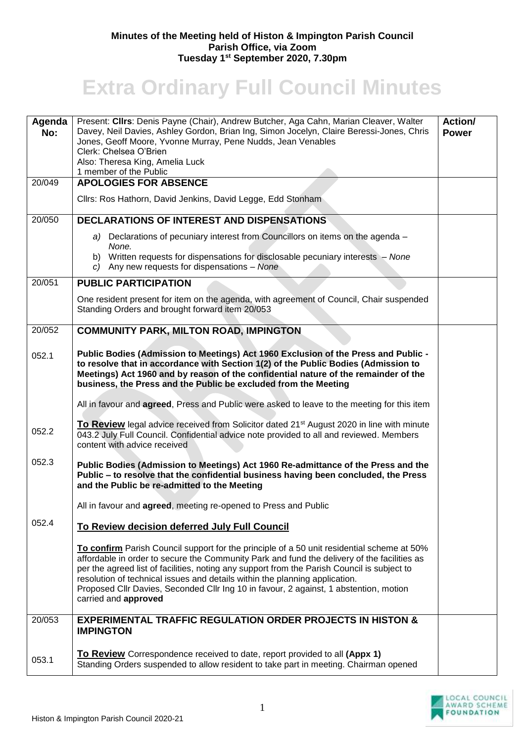## **Minutes of the Meeting held of Histon & Impington Parish Council Parish Office, via Zoom Tuesday 1st September 2020, 7.30pm**

## **Extra Ordinary Full Council Minutes**

| Agenda<br>No: | Present: Cllrs: Denis Payne (Chair), Andrew Butcher, Aga Cahn, Marian Cleaver, Walter<br>Davey, Neil Davies, Ashley Gordon, Brian Ing, Simon Jocelyn, Claire Beressi-Jones, Chris<br>Jones, Geoff Moore, Yvonne Murray, Pene Nudds, Jean Venables<br>Clerk: Chelsea O'Brien<br>Also: Theresa King, Amelia Luck<br>1 member of the Public                                                                                                                                                 | Action/<br><b>Power</b> |
|---------------|------------------------------------------------------------------------------------------------------------------------------------------------------------------------------------------------------------------------------------------------------------------------------------------------------------------------------------------------------------------------------------------------------------------------------------------------------------------------------------------|-------------------------|
| 20/049        | <b>APOLOGIES FOR ABSENCE</b>                                                                                                                                                                                                                                                                                                                                                                                                                                                             |                         |
|               | Cllrs: Ros Hathorn, David Jenkins, David Legge, Edd Stonham                                                                                                                                                                                                                                                                                                                                                                                                                              |                         |
| 20/050        | <b>DECLARATIONS OF INTEREST AND DISPENSATIONS</b>                                                                                                                                                                                                                                                                                                                                                                                                                                        |                         |
|               | a) Declarations of pecuniary interest from Councillors on items on the agenda -<br>None.<br>b) Written requests for dispensations for disclosable pecuniary interests - None<br>c) Any new requests for dispensations $-$ None                                                                                                                                                                                                                                                           |                         |
| 20/051        | <b>PUBLIC PARTICIPATION</b>                                                                                                                                                                                                                                                                                                                                                                                                                                                              |                         |
|               | One resident present for item on the agenda, with agreement of Council, Chair suspended<br>Standing Orders and brought forward item 20/053                                                                                                                                                                                                                                                                                                                                               |                         |
| 20/052        | <b>COMMUNITY PARK, MILTON ROAD, IMPINGTON</b>                                                                                                                                                                                                                                                                                                                                                                                                                                            |                         |
| 052.1         | Public Bodies (Admission to Meetings) Act 1960 Exclusion of the Press and Public -<br>to resolve that in accordance with Section 1(2) of the Public Bodies (Admission to<br>Meetings) Act 1960 and by reason of the confidential nature of the remainder of the<br>business, the Press and the Public be excluded from the Meeting                                                                                                                                                       |                         |
|               | All in favour and <b>agreed</b> , Press and Public were asked to leave to the meeting for this item                                                                                                                                                                                                                                                                                                                                                                                      |                         |
| 052.2         | To Review legal advice received from Solicitor dated 21 <sup>st</sup> August 2020 in line with minute<br>043.2 July Full Council. Confidential advice note provided to all and reviewed. Members<br>content with advice received                                                                                                                                                                                                                                                         |                         |
| 052.3         | Public Bodies (Admission to Meetings) Act 1960 Re-admittance of the Press and the<br>Public - to resolve that the confidential business having been concluded, the Press<br>and the Public be re-admitted to the Meeting                                                                                                                                                                                                                                                                 |                         |
|               | All in favour and agreed, meeting re-opened to Press and Public                                                                                                                                                                                                                                                                                                                                                                                                                          |                         |
| 052.4         | To Review decision deferred July Full Council                                                                                                                                                                                                                                                                                                                                                                                                                                            |                         |
|               | To confirm Parish Council support for the principle of a 50 unit residential scheme at 50%<br>affordable in order to secure the Community Park and fund the delivery of the facilities as<br>per the agreed list of facilities, noting any support from the Parish Council is subject to<br>resolution of technical issues and details within the planning application.<br>Proposed Cllr Davies, Seconded Cllr Ing 10 in favour, 2 against, 1 abstention, motion<br>carried and approved |                         |
| 20/053        | <b>EXPERIMENTAL TRAFFIC REGULATION ORDER PROJECTS IN HISTON &amp;</b><br><b>IMPINGTON</b>                                                                                                                                                                                                                                                                                                                                                                                                |                         |
| 053.1         | To Review Correspondence received to date, report provided to all (Appx 1)<br>Standing Orders suspended to allow resident to take part in meeting. Chairman opened                                                                                                                                                                                                                                                                                                                       |                         |